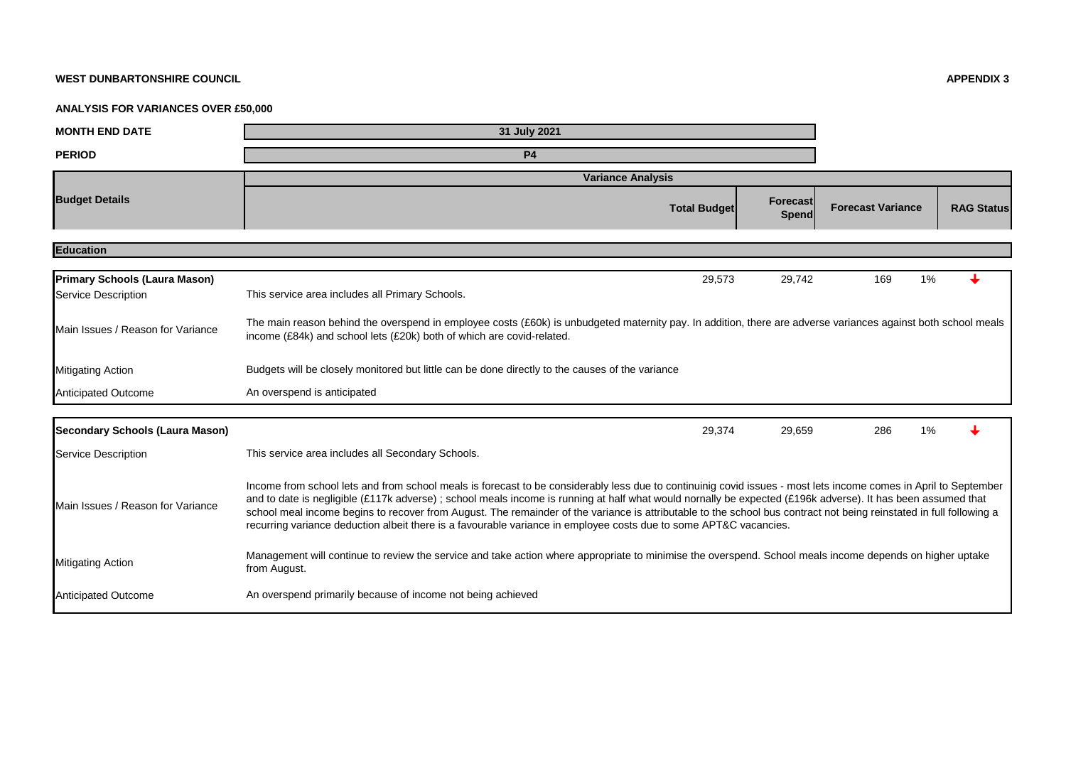## **WEST DUNBARTONSHIRE COUNCIL APPENDIX 3**

## **ANALYSIS FOR VARIANCES OVER £50,000**

| <b>MONTH END DATE</b>                                       | 31 July 2021                                                                                                                                                                                                                                                                                                                                                                                                                                                                                                                                                                                                                |                   |                          |                   |  |  |
|-------------------------------------------------------------|-----------------------------------------------------------------------------------------------------------------------------------------------------------------------------------------------------------------------------------------------------------------------------------------------------------------------------------------------------------------------------------------------------------------------------------------------------------------------------------------------------------------------------------------------------------------------------------------------------------------------------|-------------------|--------------------------|-------------------|--|--|
| <b>PERIOD</b>                                               | <b>P4</b>                                                                                                                                                                                                                                                                                                                                                                                                                                                                                                                                                                                                                   |                   |                          |                   |  |  |
|                                                             | <b>Variance Analysis</b>                                                                                                                                                                                                                                                                                                                                                                                                                                                                                                                                                                                                    |                   |                          |                   |  |  |
| <b>Budget Details</b>                                       | <b>Total Budget</b>                                                                                                                                                                                                                                                                                                                                                                                                                                                                                                                                                                                                         | Forecast<br>Spend | <b>Forecast Variance</b> | <b>RAG Status</b> |  |  |
| <b>Education</b>                                            |                                                                                                                                                                                                                                                                                                                                                                                                                                                                                                                                                                                                                             |                   |                          |                   |  |  |
| <b>Primary Schools (Laura Mason)</b><br>Service Description | 29,573<br>This service area includes all Primary Schools.                                                                                                                                                                                                                                                                                                                                                                                                                                                                                                                                                                   | 29,742            | 169<br>1%                |                   |  |  |
| Main Issues / Reason for Variance                           | The main reason behind the overspend in employee costs (£60k) is unbudgeted maternity pay. In addition, there are adverse variances against both school meals<br>income (£84k) and school lets (£20k) both of which are covid-related.                                                                                                                                                                                                                                                                                                                                                                                      |                   |                          |                   |  |  |
| <b>Mitigating Action</b>                                    | Budgets will be closely monitored but little can be done directly to the causes of the variance                                                                                                                                                                                                                                                                                                                                                                                                                                                                                                                             |                   |                          |                   |  |  |
| <b>Anticipated Outcome</b>                                  | An overspend is anticipated                                                                                                                                                                                                                                                                                                                                                                                                                                                                                                                                                                                                 |                   |                          |                   |  |  |
| Secondary Schools (Laura Mason)                             | 29,374                                                                                                                                                                                                                                                                                                                                                                                                                                                                                                                                                                                                                      | 29,659            | 286<br>1%                |                   |  |  |
| Service Description                                         | This service area includes all Secondary Schools.                                                                                                                                                                                                                                                                                                                                                                                                                                                                                                                                                                           |                   |                          |                   |  |  |
| Main Issues / Reason for Variance                           | Income from school lets and from school meals is forecast to be considerably less due to continuinig covid issues - most lets income comes in April to September<br>and to date is negligible (£117k adverse); school meals income is running at half what would nornally be expected (£196k adverse). It has been assumed that<br>school meal income begins to recover from August. The remainder of the variance is attributable to the school bus contract not being reinstated in full following a<br>recurring variance deduction albeit there is a favourable variance in employee costs due to some APT&C vacancies. |                   |                          |                   |  |  |
| <b>Mitigating Action</b>                                    | Management will continue to review the service and take action where appropriate to minimise the overspend. School meals income depends on higher uptake<br>from August.                                                                                                                                                                                                                                                                                                                                                                                                                                                    |                   |                          |                   |  |  |
| <b>Anticipated Outcome</b>                                  | An overspend primarily because of income not being achieved                                                                                                                                                                                                                                                                                                                                                                                                                                                                                                                                                                 |                   |                          |                   |  |  |